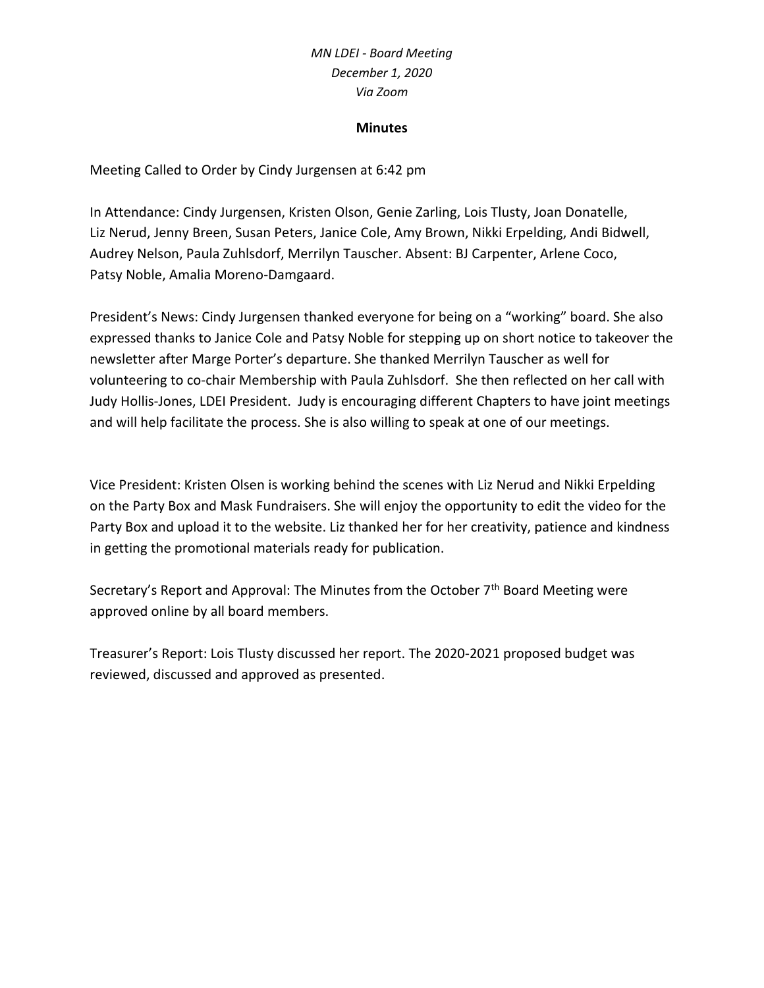### **Minutes**

Meeting Called to Order by Cindy Jurgensen at 6:42 pm

In Attendance: Cindy Jurgensen, Kristen Olson, Genie Zarling, Lois Tlusty, Joan Donatelle, Liz Nerud, Jenny Breen, Susan Peters, Janice Cole, Amy Brown, Nikki Erpelding, Andi Bidwell, Audrey Nelson, Paula Zuhlsdorf, Merrilyn Tauscher. Absent: BJ Carpenter, Arlene Coco, Patsy Noble, Amalia Moreno-Damgaard.

President's News: Cindy Jurgensen thanked everyone for being on a "working" board. She also expressed thanks to Janice Cole and Patsy Noble for stepping up on short notice to takeover the newsletter after Marge Porter's departure. She thanked Merrilyn Tauscher as well for volunteering to co-chair Membership with Paula Zuhlsdorf. She then reflected on her call with Judy Hollis-Jones, LDEI President. Judy is encouraging different Chapters to have joint meetings and will help facilitate the process. She is also willing to speak at one of our meetings.

Vice President: Kristen Olsen is working behind the scenes with Liz Nerud and Nikki Erpelding on the Party Box and Mask Fundraisers. She will enjoy the opportunity to edit the video for the Party Box and upload it to the website. Liz thanked her for her creativity, patience and kindness in getting the promotional materials ready for publication.

Secretary's Report and Approval: The Minutes from the October 7<sup>th</sup> Board Meeting were approved online by all board members.

Treasurer's Report: Lois Tlusty discussed her report. The 2020-2021 proposed budget was reviewed, discussed and approved as presented.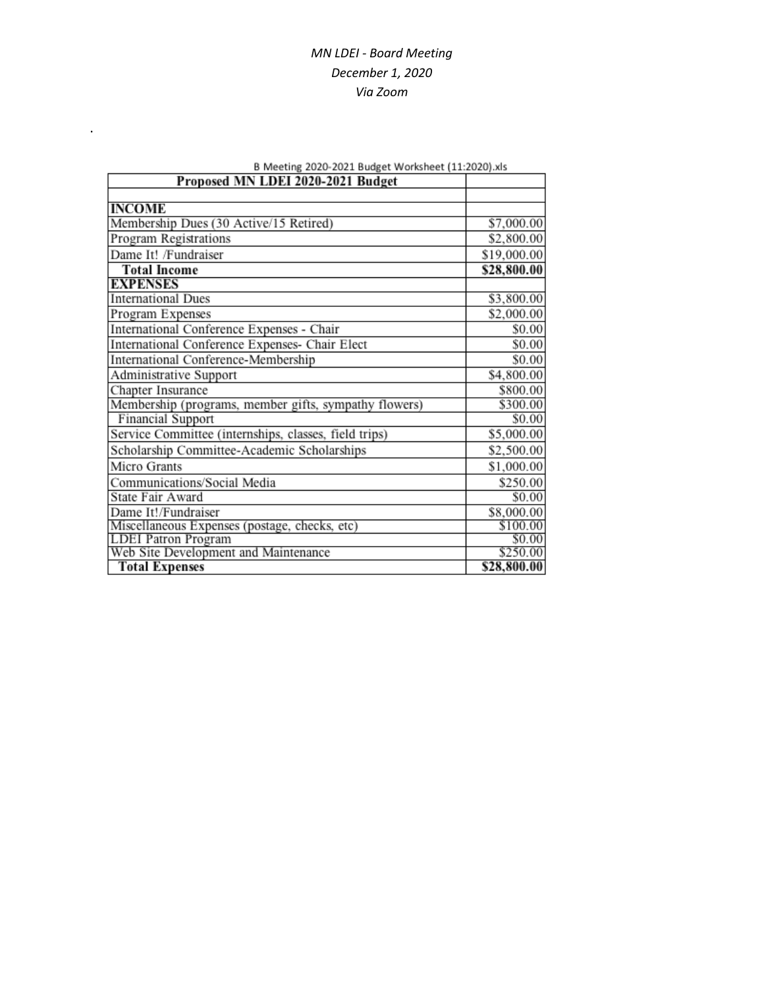| B Meeting 2020-2021 Budget Worksheet (11:2020).xls    |             |
|-------------------------------------------------------|-------------|
| Proposed MN LDEI 2020-2021 Budget                     |             |
|                                                       |             |
| <b>INCOME</b>                                         |             |
| Membership Dues (30 Active/15 Retired)                | \$7,000.00  |
| Program Registrations                                 | \$2,800.00  |
| Dame It! /Fundraiser                                  | \$19,000.00 |
| <b>Total Income</b>                                   | \$28,800.00 |
| <b>EXPENSES</b>                                       |             |
| <b>International Dues</b>                             | \$3,800.00  |
| Program Expenses                                      | \$2,000.00  |
| International Conference Expenses - Chair             | \$0.00      |
| International Conference Expenses- Chair Elect        | \$0.00      |
| International Conference-Membership                   | \$0.00      |
| Administrative Support                                | \$4,800.00  |
| Chapter Insurance                                     | \$800.00    |
| Membership (programs, member gifts, sympathy flowers) | \$300.00    |
| <b>Financial Support</b>                              | \$0.00      |
| Service Committee (internships, classes, field trips) | \$5,000.00  |
| Scholarship Committee-Academic Scholarships           | \$2,500.00  |
| Micro Grants                                          | \$1,000.00  |
| Communications/Social Media                           | \$250.00    |
| State Fair Award                                      | \$0.00      |
| Dame It!/Fundraiser                                   | \$8,000.00  |
| Miscellaneous Expenses (postage, checks, etc)         | \$100.00    |
| <b>LDEI</b> Patron Program                            | \$0.00      |
| Web Site Development and Maintenance                  | \$250.00    |
| <b>Total Expenses</b>                                 | \$28,800.00 |

.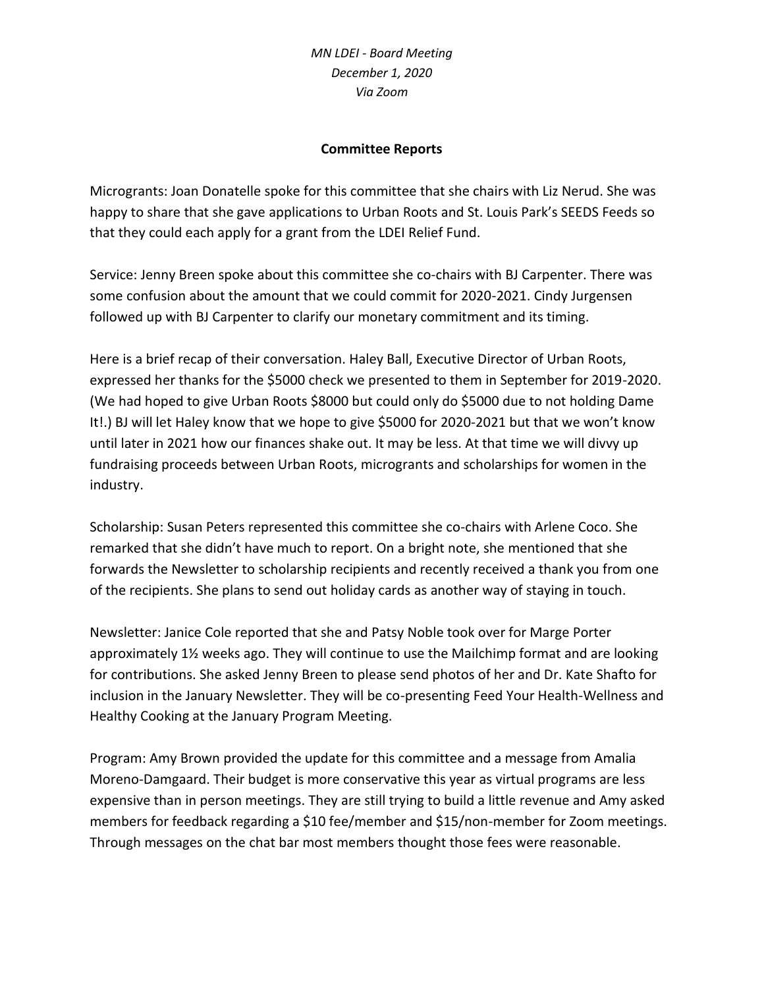## **Committee Reports**

Microgrants: Joan Donatelle spoke for this committee that she chairs with Liz Nerud. She was happy to share that she gave applications to Urban Roots and St. Louis Park's SEEDS Feeds so that they could each apply for a grant from the LDEI Relief Fund.

Service: Jenny Breen spoke about this committee she co-chairs with BJ Carpenter. There was some confusion about the amount that we could commit for 2020-2021. Cindy Jurgensen followed up with BJ Carpenter to clarify our monetary commitment and its timing.

Here is a brief recap of their conversation. Haley Ball, Executive Director of Urban Roots, expressed her thanks for the \$5000 check we presented to them in September for 2019-2020. (We had hoped to give Urban Roots \$8000 but could only do \$5000 due to not holding Dame It!.) BJ will let Haley know that we hope to give \$5000 for 2020-2021 but that we won't know until later in 2021 how our finances shake out. It may be less. At that time we will divvy up fundraising proceeds between Urban Roots, microgrants and scholarships for women in the industry.

Scholarship: Susan Peters represented this committee she co-chairs with Arlene Coco. She remarked that she didn't have much to report. On a bright note, she mentioned that she forwards the Newsletter to scholarship recipients and recently received a thank you from one of the recipients. She plans to send out holiday cards as another way of staying in touch.

Newsletter: Janice Cole reported that she and Patsy Noble took over for Marge Porter approximately 1½ weeks ago. They will continue to use the Mailchimp format and are looking for contributions. She asked Jenny Breen to please send photos of her and Dr. Kate Shafto for inclusion in the January Newsletter. They will be co-presenting Feed Your Health-Wellness and Healthy Cooking at the January Program Meeting.

Program: Amy Brown provided the update for this committee and a message from Amalia Moreno-Damgaard. Their budget is more conservative this year as virtual programs are less expensive than in person meetings. They are still trying to build a little revenue and Amy asked members for feedback regarding a \$10 fee/member and \$15/non-member for Zoom meetings. Through messages on the chat bar most members thought those fees were reasonable.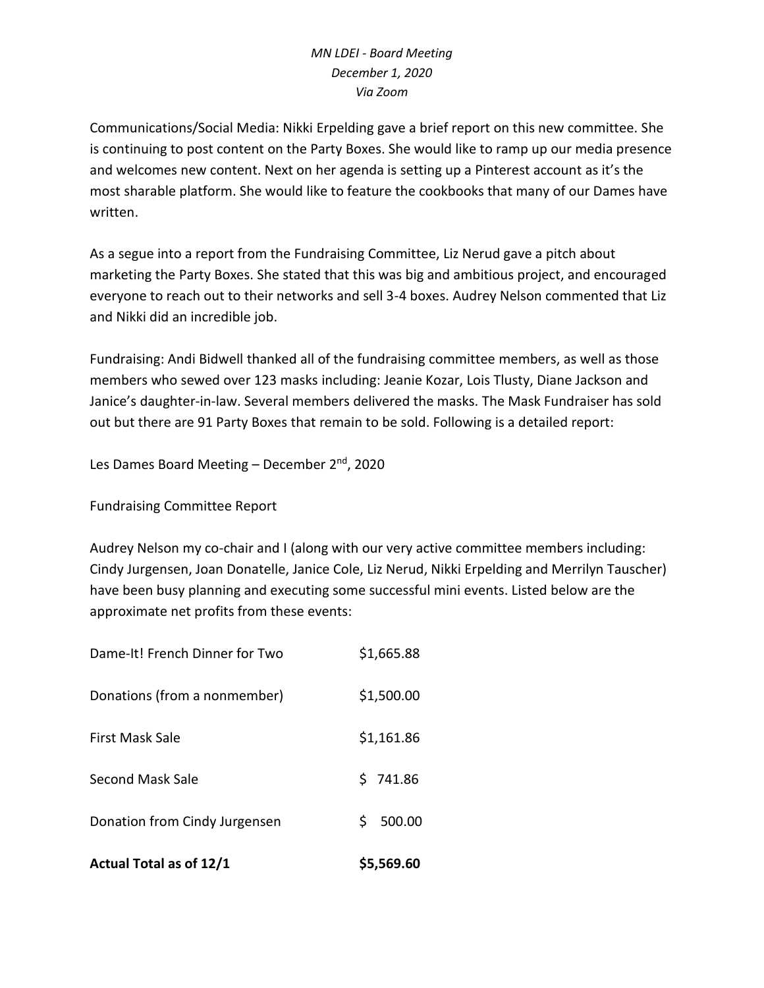Communications/Social Media: Nikki Erpelding gave a brief report on this new committee. She is continuing to post content on the Party Boxes. She would like to ramp up our media presence and welcomes new content. Next on her agenda is setting up a Pinterest account as it's the most sharable platform. She would like to feature the cookbooks that many of our Dames have written.

As a segue into a report from the Fundraising Committee, Liz Nerud gave a pitch about marketing the Party Boxes. She stated that this was big and ambitious project, and encouraged everyone to reach out to their networks and sell 3-4 boxes. Audrey Nelson commented that Liz and Nikki did an incredible job.

Fundraising: Andi Bidwell thanked all of the fundraising committee members, as well as those members who sewed over 123 masks including: Jeanie Kozar, Lois Tlusty, Diane Jackson and Janice's daughter-in-law. Several members delivered the masks. The Mask Fundraiser has sold out but there are 91 Party Boxes that remain to be sold. Following is a detailed report:

Les Dames Board Meeting – December 2<sup>nd</sup>, 2020

Fundraising Committee Report

Audrey Nelson my co-chair and I (along with our very active committee members including: Cindy Jurgensen, Joan Donatelle, Janice Cole, Liz Nerud, Nikki Erpelding and Merrilyn Tauscher) have been busy planning and executing some successful mini events. Listed below are the approximate net profits from these events:

| <b>Actual Total as of 12/1</b> | \$5,569.60   |
|--------------------------------|--------------|
| Donation from Cindy Jurgensen  | Ś.<br>500.00 |
| Second Mask Sale               | 5741.86      |
| <b>First Mask Sale</b>         | \$1,161.86   |
| Donations (from a nonmember)   | \$1,500.00   |
| Dame-It! French Dinner for Two | \$1,665.88   |